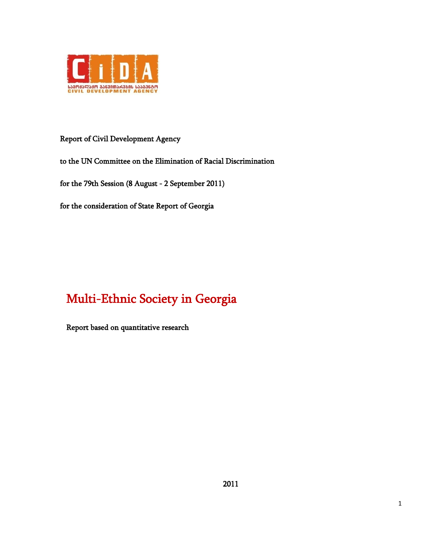

Report of Civil Development Agency

to the UN Committee on the Elimination of Racial Discrimination

for the 79th Session (8 August - 2 September 2011)

for the consideration of State Report of Georgia

# Multi-Ethnic Society in Georgia

Report based on quantitative research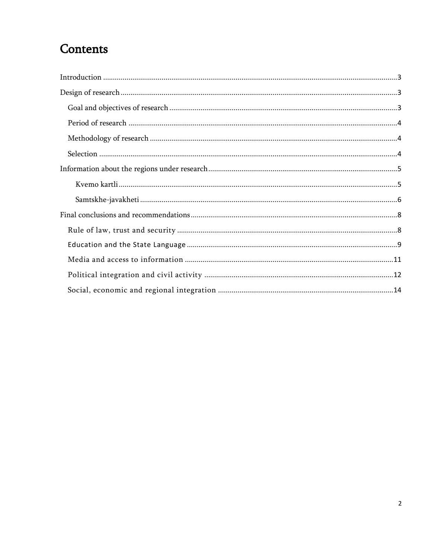## Contents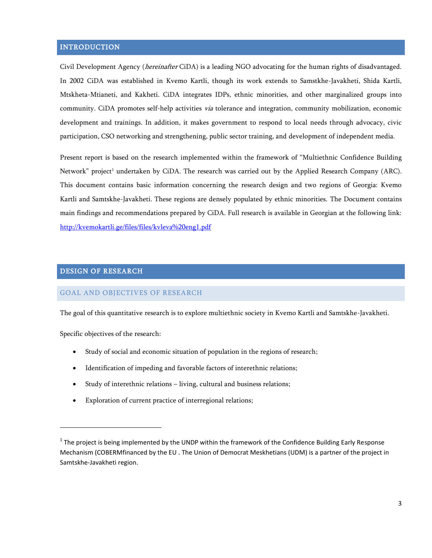## <span id="page-2-0"></span>**INTRODUCTION**

Civil Development Agency (*hereinafter* CiDA) is a leading NGO advocating for the human rights of disadvantaged. In 2002 CiDA was established in Kvemo Kartli, though its work extends to Samstkhe-Javakheti, Shida Kartli, Mtskheta-Mtianeti, and Kakheti. CiDA integrates IDPs, ethnic minorities, and other marginalized groups into community. CiDA promotes self-help activities via tolerance and integration, community mobilization, economic development and trainings. In addition, it makes government to respond to local needs through advocacy, civic participation, CSO networking and strengthening, public sector training, and development of independent media.

Present report is based on the research implemented within the framework of "Multiethnic Confidence Building Network" project<sup>1</sup> undertaken by CiDA. The research was carried out by the Applied Research Company (ARC). This document contains basic information concerning the research design and two regions of Georgia: Kvemo Kartli and Samtskhe-Javakheti. These regions are densely populated by ethnic minorities. The Document contains main findings and recommendations prepared by CiDA. Full research is available in Georgian at the following link: <http://kvemokartli.ge/files/files/kvleva%20eng1.pdf>

## <span id="page-2-1"></span>DESIGN OF RESEARCH

#### <span id="page-2-2"></span>GOAL AND OBJECTIVES OF RESEARCH

The goal of this quantitative research is to explore multiethnic society in Kvemo Kartli and Samtskhe-Javakheti.

Specific objectives of the research:

- Study of social and economic situation of population in the regions of research;
- Identification of impeding and favorable factors of interethnic relations;
- Study of interethnic relations living, cultural and business relations;
- Exploration of current practice of interregional relations;

 $1$  The project is being implemented by the UNDP within the framework of the Confidence Building Early Response Mechanism (COBERMfinanced by the EU . The Union of Democrat Meskhetians (UDM) is a partner of the project in Samtskhe-Javakheti region.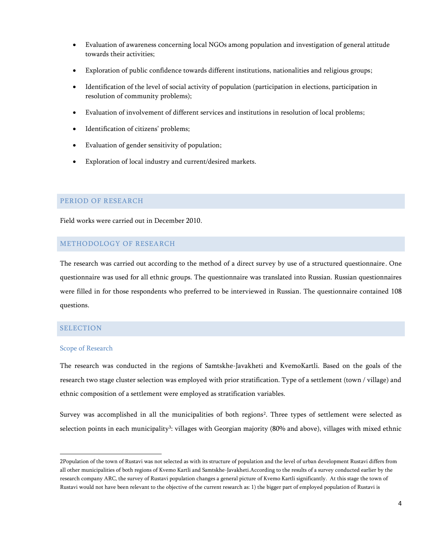- Evaluation of awareness concerning local NGOs among population and investigation of general attitude towards their activities;
- Exploration of public confidence towards different institutions, nationalities and religious groups;
- Identification of the level of social activity of population (participation in elections, participation in resolution of community problems);
- Evaluation of involvement of different services and institutions in resolution of local problems;
- Identification of citizens' problems;
- Evaluation of gender sensitivity of population;
- Exploration of local industry and current/desired markets.

#### <span id="page-3-0"></span>PERIOD OF RESEARCH

Field works were carried out in December 2010.

## <span id="page-3-1"></span>METHODOLOGY OF RESEARCH

The research was carried out according to the method of a direct survey by use of a structured questionnaire. One questionnaire was used for all ethnic groups. The questionnaire was translated into Russian. Russian questionnaires were filled in for those respondents who preferred to be interviewed in Russian. The questionnaire contained 108 questions.

## <span id="page-3-2"></span>**SELECTION**

 $\overline{a}$ 

## Scope of Research

The research was conducted in the regions of Samtskhe-Javakheti and KvemoKartli. Based on the goals of the research two stage cluster selection was employed with prior stratification. Type of a settlement (town / village) and ethnic composition of a settlement were employed as stratification variables.

Survey was accomplished in all the municipalities of both regions<sup>2</sup> . Three types of settlement were selected as selection points in each municipality<sup>3</sup>: villages with Georgian majority (80% and above), villages with mixed ethnic

<sup>2</sup>Population of the town of Rustavi was not selected as with its structure of population and the level of urban development Rustavi differs from all other municipalities of both regions of Kvemo Kartli and Samtskhe-Javakheti.According to the results of a survey conducted earlier by the research company ARC, the survey of Rustavi population changes a general picture of Kvemo Kartli significantly. At this stage the town of Rustavi would not have been relevant to the objective of the current research as: 1) the bigger part of employed population of Rustavi is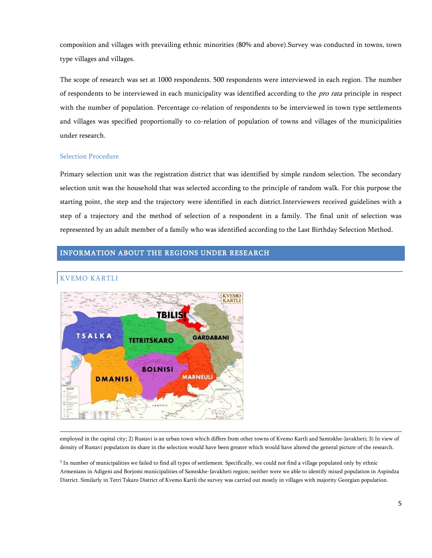composition and villages with prevailing ethnic minorities (80% and above).Survey was conducted in towns, town type villages and villages.

The scope of research was set at 1000 respondents. 500 respondents were interviewed in each region. The number of respondents to be interviewed in each municipality was identified according to the *pro rata* principle in respect with the number of population. Percentage co-relation of respondents to be interviewed in town type settlements and villages was specified proportionally to co-relation of population of towns and villages of the municipalities under research.

#### Selection Procedure

Primary selection unit was the registration district that was identified by simple random selection. The secondary selection unit was the household that was selected according to the principle of random walk. For this purpose the starting point, the step and the trajectory were identified in each district.Interviewers received guidelines with a step of a trajectory and the method of selection of a respondent in a family. The final unit of selection was represented by an adult member of a family who was identified according to the Last Birthday Selection Method.

## <span id="page-4-1"></span><span id="page-4-0"></span>INFORMATION ABOUT THE REGIONS UNDER RESEARCH



KVEMO KARTLI

 $\overline{a}$ 

employed in the capital city; 2) Rustavi is an urban town which differs from other towns of Kvemo Kartli and Samtskhe-Javakheti; 3) In view of density of Rustavi population its share in the selection would have been greater which would have altered the general picture of the research.

<sup>3</sup> In number of municipalities we failed to find all types of settlement. Specifically, we could not find a village populated only by ethnic Armenians in Adigeni and Borjomi municipalities of Samtskhe-Javakheti region; neither were we able to identify mixed population in Aspindza District. Similarly in Tetri Tskaro District of Kvemo Kartli the survey was carried out mostly in villages with majority Georgian population.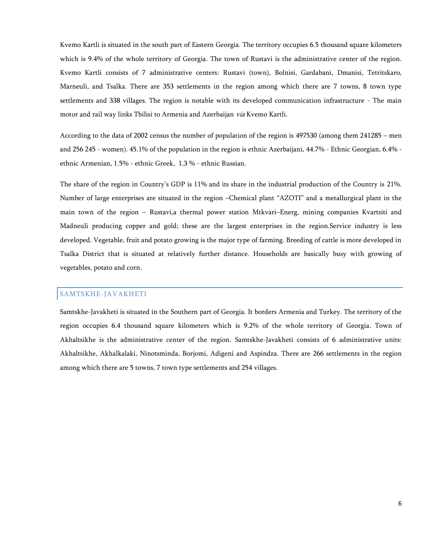Kvemo Kartli is situated in the south part of Eastern Georgia. The territory occupies 6.5 thousand square kilometers which is 9.4% of the whole territory of Georgia. The town of Rustavi is the administrative center of the region. Kvemo Kartli consists of 7 administrative centers: Rustavi (town), Bolnisi, Gardabani, Dmanisi, Tetritskaro, Marneuli, and Tsalka. There are 353 settlements in the region among which there are 7 towns, 8 town type settlements and 338 villages. The region is notable with its developed communication infrastructure - The main motor and rail way links Tbilisi to Armenia and Azerbaijan via Kvemo Kartli.

According to the data of 2002 census the number of population of the region is 497530 (among them 241285 – men and 256 245 - women). 45.1% of the population in the region is ethnic Azerbaijani, 44.7% - Ethnic Georgian, 6.4% ethnic Armenian, 1.5% - ethnic Greek, 1.3 % - ethnic Russian.

The share of the region in Country's GDP is 11% and its share in the industrial production of the Country is 21%. Number of large enterprises are situated in the region –Chemical plant "AZOTI" and a metallurgical plant in the main town of the region – Rustavi,a thermal power station Mtkvari–Energ, mining companies Kvartsiti and Madneuli producing copper and gold; these are the largest enterprises in the region.Service industry is less developed. Vegetable, fruit and potato growing is the major type of farming. Breeding of cattle is more developed in Tsalka District that is situated at relatively further distance. Households are basically busy with growing of vegetables, potato and corn.

## <span id="page-5-0"></span>SAMTSKHE-JAVAKHETI

Samtskhe-Javakheti is situated in the Southern part of Georgia. It borders Armenia and Turkey. The territory of the region occupies 6.4 thousand square kilometers which is 9.2% of the whole territory of Georgia. Town of Akhaltsikhe is the administrative center of the region. Samtskhe-Javakheti consists of 6 administrative units: Akhaltsikhe, Akhalkalaki, Ninotsminda, Borjomi, Adigeni and Aspindza. There are 266 settlements in the region among which there are 5 towns, 7 town type settlements and 254 villages.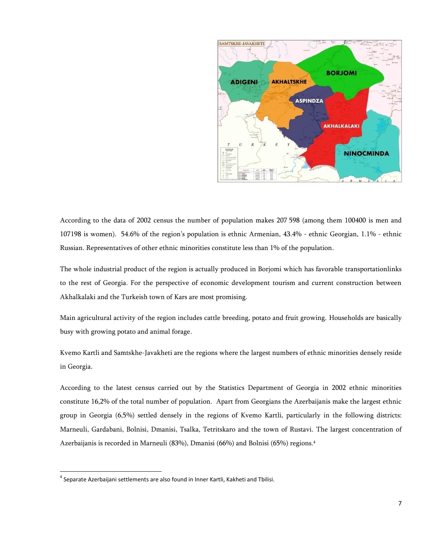

According to the data of 2002 census the number of population makes 207 598 (among them 100400 is men and 107198 is women). 54.6% of the region's population is ethnic Armenian, 43.4% - ethnic Georgian, 1.1% - ethnic Russian. Representatives of other ethnic minorities constitute less than 1% of the population.

The whole industrial product of the region is actually produced in Borjomi which has favorable transportationlinks to the rest of Georgia. For the perspective of economic development tourism and current construction between Akhalkalaki and the Turkeish town of Kars are most promising.

Main agricultural activity of the region includes cattle breeding, potato and fruit growing. Households are basically busy with growing potato and animal forage.

Kvemo Kartli and Samtskhe-Javakheti are the regions where the largest numbers of ethnic minorities densely reside in Georgia.

According to the latest census carried out by the Statistics Department of Georgia in 2002 ethnic minorities constitute 16,2% of the total number of population. Apart from Georgians the Azerbaijanis make the largest ethnic group in Georgia (6,5%) settled densely in the regions of Kvemo Kartli, particularly in the following districts: Marneuli, Gardabani, Bolnisi, Dmanisi, Tsalka, Tetritskaro and the town of Rustavi. The largest concentration of Azerbaijanis is recorded in Marneuli (83%), Dmanisi (66%) and Bolnisi (65%) regions. 4

<sup>&</sup>lt;sup>4</sup> Separate Azerbaijani settlements are also found in Inner Kartli, Kakheti and Tbilisi.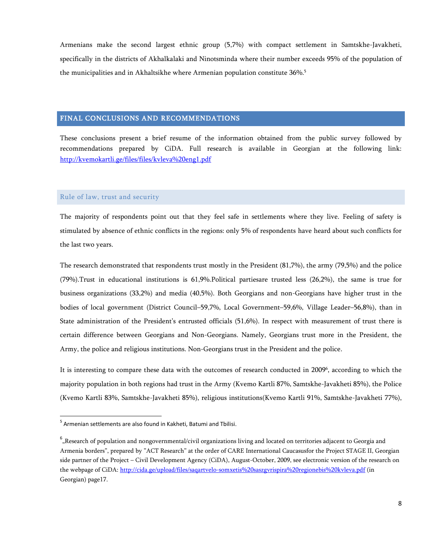Armenians make the second largest ethnic group (5,7%) with compact settlement in Samtskhe-Javakheti, specifically in the districts of Akhalkalaki and Ninotsminda where their number exceeds 95% of the population of the municipalities and in Akhaltsikhe where Armenian population constitute 36%. 5

## <span id="page-7-0"></span>FINAL CONCLUSIONS AND RECOMMENDATIONS

These conclusions present a brief resume of the information obtained from the public survey followed by recommendations prepared by CiDA. Full research is available in Georgian at the following link: <http://kvemokartli.ge/files/files/kvleva%20eng1.pdf>

#### <span id="page-7-1"></span>Rule of law, trust and security

The majority of respondents point out that they feel safe in settlements where they live. Feeling of safety is stimulated by absence of ethnic conflicts in the regions: only 5% of respondents have heard about such conflicts for the last two years.

The research demonstrated that respondents trust mostly in the President (81,7%), the army (79,5%) and the police (79%).Trust in educational institutions is 61,9%.Political partiesare trusted less (26,2%), the same is true for business organizations (33,2%) and media (40,5%). Both Georgians and non-Georgians have higher trust in the bodies of local government (District Council–59,7%, Local Government–59,6%, Village Leader–56,8%), than in State administration of the President's entrusted officials (51,6%). In respect with measurement of trust there is certain difference between Georgians and Non-Georgians. Namely, Georgians trust more in the President, the Army, the police and religious institutions. Non-Georgians trust in the President and the police.

It is interesting to compare these data with the outcomes of research conducted in 2009<sup>6</sup> , according to which the majority population in both regions had trust in the Army (Kvemo Kartli 87%, Samtskhe-Javakheti 85%), the Police (Kvemo Kartli 83%, Samtskhe-Javakheti 85%), religious institutions(Kvemo Kartli 91%, Samtskhe-Javakheti 77%),

<sup>&</sup>lt;sup>5</sup> Armenian settlements are also found in Kakheti, Batumi and Tbilisi.

 $^6$  "Research of population and nongovernmental/civil organizations living and located on territories adjacent to Georgia and Armenia borders", prepared by "ACT Research" at the order of CARE International Caucasusfor the Project STAGE II, Georgian side partner of the Project – Civil Development Agency (CiDA), August-October, 2009, see electronic version of the research on the webpage of CiDA:<http://cida.ge/upload/files/saqartvelo-somxetis%20saszgvrispira%20regionebis%20kvleva.pdf> (in Georgian) page17.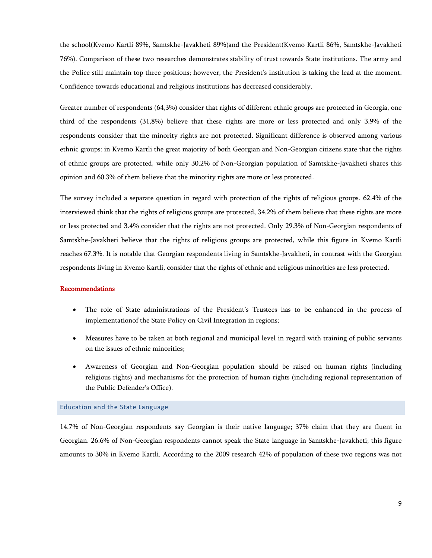the school(Kvemo Kartli 89%, Samtskhe-Javakheti 89%)and the President(Kvemo Kartli 86%, Samtskhe-Javakheti 76%). Comparison of these two researches demonstrates stability of trust towards State institutions. The army and the Police still maintain top three positions; however, the President's institution is taking the lead at the moment. Confidence towards educational and religious institutions has decreased considerably.

Greater number of respondents (64,3%) consider that rights of different ethnic groups are protected in Georgia, one third of the respondents (31,8%) believe that these rights are more or less protected and only 3.9% of the respondents consider that the minority rights are not protected. Significant difference is observed among various ethnic groups: in Kvemo Kartli the great majority of both Georgian and Non-Georgian citizens state that the rights of ethnic groups are protected, while only 30.2% of Non-Georgian population of Samtskhe-Javakheti shares this opinion and 60.3% of them believe that the minority rights are more or less protected.

The survey included a separate question in regard with protection of the rights of religious groups. 62.4% of the interviewed think that the rights of religious groups are protected, 34.2% of them believe that these rights are more or less protected and 3.4% consider that the rights are not protected. Only 29.3% of Non-Georgian respondents of Samtskhe-Javakheti believe that the rights of religious groups are protected, while this figure in Kvemo Kartli reaches 67.3%. It is notable that Georgian respondents living in Samtskhe-Javakheti, in contrast with the Georgian respondents living in Kvemo Kartli, consider that the rights of ethnic and religious minorities are less protected.

#### Recommendations

- The role of State administrations of the President's Trustees has to be enhanced in the process of implementationof the State Policy on Civil Integration in regions;
- Measures have to be taken at both regional and municipal level in regard with training of public servants on the issues of ethnic minorities;
- Awareness of Georgian and Non-Georgian population should be raised on human rights (including religious rights) and mechanisms for the protection of human rights (including regional representation of the Public Defender's Office).

#### <span id="page-8-0"></span>Education and the State Language

14.7% of Non-Georgian respondents say Georgian is their native language; 37% claim that they are fluent in Georgian. 26.6% of Non-Georgian respondents cannot speak the State language in Samtskhe-Javakheti; this figure amounts to 30% in Kvemo Kartli. According to the 2009 research 42% of population of these two regions was not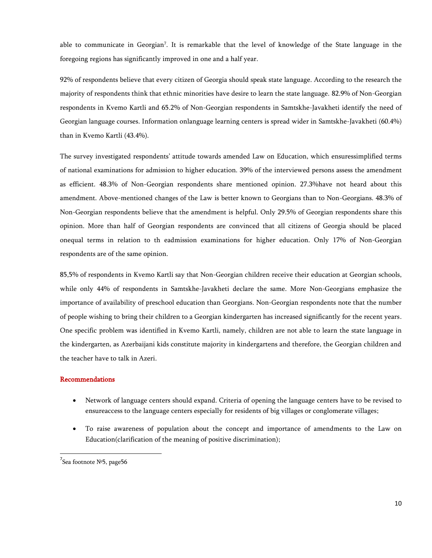able to communicate in Georgian<sup>7</sup>. It is remarkable that the level of knowledge of the State language in the foregoing regions has significantly improved in one and a half year.

92% of respondents believe that every citizen of Georgia should speak state language. According to the research the majority of respondents think that ethnic minorities have desire to learn the state language. 82.9% of Non-Georgian respondents in Kvemo Kartli and 65.2% of Non-Georgian respondents in Samtskhe-Javakheti identify the need of Georgian language courses. Information onlanguage learning centers is spread wider in Samtskhe-Javakheti (60.4%) than in Kvemo Kartli (43.4%).

The survey investigated respondents' attitude towards amended Law on Education, which ensuressimplified terms of national examinations for admission to higher education. 39% of the interviewed persons assess the amendment as efficient. 48.3% of Non-Georgian respondents share mentioned opinion. 27.3%have not heard about this amendment. Above-mentioned changes of the Law is better known to Georgians than to Non-Georgians. 48.3% of Non-Georgian respondents believe that the amendment is helpful. Only 29.5% of Georgian respondents share this opinion. More than half of Georgian respondents are convinced that all citizens of Georgia should be placed onequal terms in relation to th eadmission examinations for higher education. Only 17% of Non-Georgian respondents are of the same opinion.

85,5% of respondents in Kvemo Kartli say that Non-Georgian children receive their education at Georgian schools, while only 44% of respondents in Samtskhe-Javakheti declare the same. More Non-Georgians emphasize the importance of availability of preschool education than Georgians. Non-Georgian respondents note that the number of people wishing to bring their children to a Georgian kindergarten has increased significantly for the recent years. One specific problem was identified in Kvemo Kartli, namely, children are not able to learn the state language in the kindergarten, as Azerbaijani kids constitute majority in kindergartens and therefore, the Georgian children and the teacher have to talk in Azeri.

## Recommendations

- Network of language centers should expand. Criteria of opening the language centers have to be revised to ensureaccess to the language centers especially for residents of big villages or conglomerate villages;
- To raise awareness of population about the concept and importance of amendments to the Law on Education(clarification of the meaning of positive discrimination);

<sup>&</sup>lt;sup>7</sup>Sea footnote №5, page56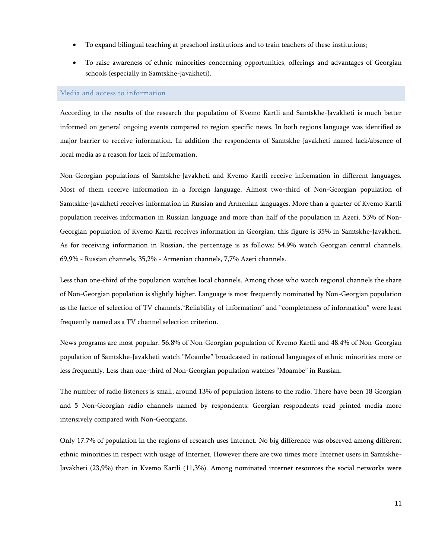- To expand bilingual teaching at preschool institutions and to train teachers of these institutions;
- To raise awareness of ethnic minorities concerning opportunities, offerings and advantages of Georgian schools (especially in Samtskhe-Javakheti).

#### <span id="page-10-0"></span>Media and access to information

According to the results of the research the population of Kvemo Kartli and Samtskhe-Javakheti is much better informed on general ongoing events compared to region specific news. In both regions language was identified as major barrier to receive information. In addition the respondents of Samtskhe-Javakheti named lack/absence of local media as a reason for lack of information.

Non-Georgian populations of Samtskhe-Javakheti and Kvemo Kartli receive information in different languages. Most of them receive information in a foreign language. Almost two-third of Non-Georgian population of Samtskhe-Javakheti receives information in Russian and Armenian languages. More than a quarter of Kvemo Kartli population receives information in Russian language and more than half of the population in Azeri. 53% of Non-Georgian population of Kvemo Kartli receives information in Georgian, this figure is 35% in Samtskhe-Javakheti. As for receiving information in Russian, the percentage is as follows: 54,9% watch Georgian central channels, 69,9% - Russian channels, 35,2% - Armenian channels, 7,7% Azeri channels.

Less than one-third of the population watches local channels. Among those who watch regional channels the share of Non-Georgian population is slightly higher. Language is most frequently nominated by Non-Georgian population as the factor of selection of TV channels."Reliability of information" and "completeness of information" were least frequently named as a TV channel selection criterion.

News programs are most popular. 56.8% of Non-Georgian population of Kvemo Kartli and 48.4% of Non-Georgian population of Samtskhe-Javakheti watch "Moambe" broadcasted in national languages of ethnic minorities more or less frequently. Less than one-third of Non-Georgian population watches "Moambe" in Russian.

The number of radio listeners is small; around 13% of population listens to the radio. There have been 18 Georgian and 5 Non-Georgian radio channels named by respondents. Georgian respondents read printed media more intensively compared with Non-Georgians.

Only 17.7% of population in the regions of research uses Internet. No big difference was observed among different ethnic minorities in respect with usage of Internet. However there are two times more Internet users in Samtskhe-Javakheti (23,9%) than in Kvemo Kartli (11,3%). Among nominated internet resources the social networks were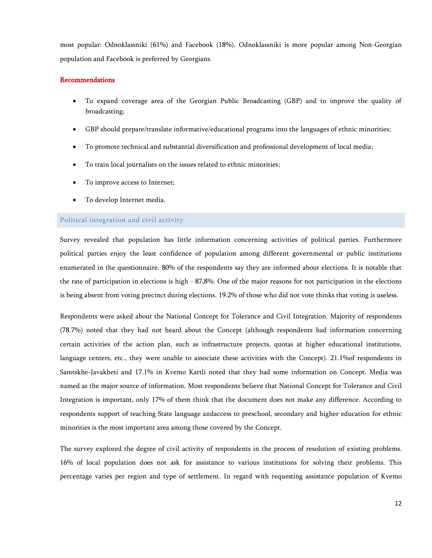most popular: Odnoklassniki (61%) and Facebook (18%). Odnoklassniki is more popular among Non-Georgian population and Facebook is preferred by Georgians.

#### Recommendations

- To expand coverage area of the Georgian Public Broadcasting (GBP) and to improve the quality of broadcasting;
- GBP should prepare/translate informative/educational programs into the languages of ethnic minorities;
- To promote technical and substantial diversification and professional development of local media;
- To train local journalists on the issues related to ethnic minorities;
- To improve access to Internet;
- To develop Internet media.

#### <span id="page-11-0"></span>Political integration and civil activity

Survey revealed that population has little information concerning activities of political parties. Furthermore political parties enjoy the least confidence of population among different governmental or public institutions enumerated in the questionnaire. 80% of the respondents say they are informed about elections. It is notable that the rate of participation in elections is high - 87,8%. One of the major reasons for not participation in the elections is being absent from voting precinct during elections. 19.2% of those who did not vote thinks that voting is useless.

Respondents were asked about the National Concept for Tolerance and Civil Integration. Majority of respondents (78.7%) noted that they had not heard about the Concept (although respondents had information concerning certain activities of the action plan, such as infrastructure projects, quotas at higher educational institutions, language centers, etc., they were unable to associate these activities with the Concept). 21.1%of respondents in Samtskhe-Javakheti and 17.1% in Kvemo Kartli noted that they had some information on Concept. Media was named as the major source of information. Most respondents believe that National Concept for Tolerance and Civil Integration is important, only 17% of them think that the document does not make any difference. According to respondents support of teaching State language andaccess to preschool, secondary and higher education for ethnic minorities is the most important area among those covered by the Concept.

The survey explored the degree of civil activity of respondents in the process of resolution of existing problems. 16% of local population does not ask for assistance to various institutions for solving their problems. This percentage varies per region and type of settlement. In regard with requesting assistance population of Kvemo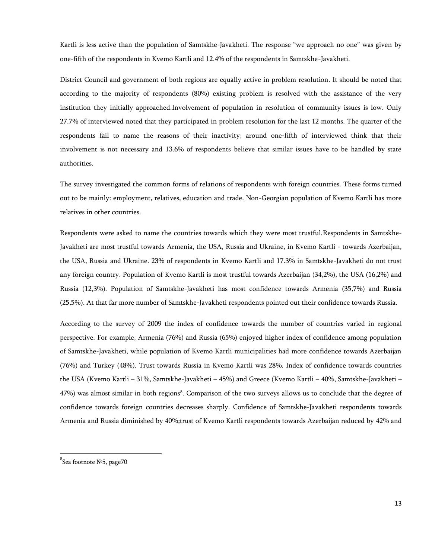Kartli is less active than the population of Samtskhe-Javakheti. The response "we approach no one" was given by one-fifth of the respondents in Kvemo Kartli and 12.4% of the respondents in Samtskhe-Javakheti.

District Council and government of both regions are equally active in problem resolution. It should be noted that according to the majority of respondents (80%) existing problem is resolved with the assistance of the very institution they initially approached.Involvement of population in resolution of community issues is low. Only 27.7% of interviewed noted that they participated in problem resolution for the last 12 months. The quarter of the respondents fail to name the reasons of their inactivity; around one-fifth of interviewed think that their involvement is not necessary and 13.6% of respondents believe that similar issues have to be handled by state authorities.

The survey investigated the common forms of relations of respondents with foreign countries. These forms turned out to be mainly: employment, relatives, education and trade. Non-Georgian population of Kvemo Kartli has more relatives in other countries.

Respondents were asked to name the countries towards which they were most trustful.Respondents in Samtskhe-Javakheti are most trustful towards Armenia, the USA, Russia and Ukraine, in Kvemo Kartli - towards Azerbaijan, the USA, Russia and Ukraine. 23% of respondents in Kvemo Kartli and 17.3% in Samtskhe-Javakheti do not trust any foreign country. Population of Kvemo Kartli is most trustful towards Azerbaijan (34,2%), the USA (16,2%) and Russia (12,3%). Population of Samtskhe-Javakheti has most confidence towards Armenia (35,7%) and Russia (25,5%). At that far more number of Samtskhe-Javakheti respondents pointed out their confidence towards Russia.

According to the survey of 2009 the index of confidence towards the number of countries varied in regional perspective. For example, Armenia (76%) and Russia (65%) enjoyed higher index of confidence among population of Samtskhe-Javakheti, while population of Kvemo Kartli municipalities had more confidence towards Azerbaijan (76%) and Turkey (48%). Trust towards Russia in Kvemo Kartli was 28%. Index of confidence towards countries the USA (Kvemo Kartli – 31%, Samtskhe-Javakheti – 45%) and Greece (Kvemo Kartli – 40%, Samtskhe-Javakheti – 47%) was almost similar in both regions<sup>8</sup>. Comparison of the two surveys allows us to conclude that the degree of confidence towards foreign countries decreases sharply. Confidence of Samtskhe-Javakheti respondents towards Armenia and Russia diminished by 40%;trust of Kvemo Kartli respondents towards Azerbaijan reduced by 42% and

<sup>&</sup>lt;sup>8</sup>Sea footnote №5, page70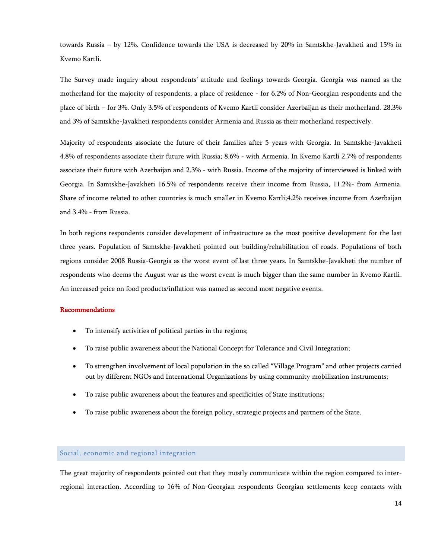towards Russia – by 12%. Confidence towards the USA is decreased by 20% in Samtskhe-Javakheti and 15% in Kvemo Kartli.

The Survey made inquiry about respondents' attitude and feelings towards Georgia. Georgia was named as the motherland for the majority of respondents, a place of residence - for 6.2% of Non-Georgian respondents and the place of birth – for 3%. Only 3.5% of respondents of Kvemo Kartli consider Azerbaijan as their motherland. 28.3% and 3% of Samtskhe-Javakheti respondents consider Armenia and Russia as their motherland respectively.

Majority of respondents associate the future of their families after 5 years with Georgia. In Samtskhe-Javakheti 4.8% of respondents associate their future with Russia; 8.6% - with Armenia. In Kvemo Kartli 2.7% of respondents associate their future with Azerbaijan and 2.3% - with Russia. Income of the majority of interviewed is linked with Georgia. In Samtskhe-Javakheti 16.5% of respondents receive their income from Russia, 11.2%- from Armenia. Share of income related to other countries is much smaller in Kvemo Kartli;4.2% receives income from Azerbaijan and 3.4% - from Russia.

In both regions respondents consider development of infrastructure as the most positive development for the last three years. Population of Samtskhe-Javakheti pointed out building/rehabilitation of roads. Populations of both regions consider 2008 Russia-Georgia as the worst event of last three years. In Samtskhe-Javakheti the number of respondents who deems the August war as the worst event is much bigger than the same number in Kvemo Kartli. An increased price on food products/inflation was named as second most negative events.

## Recommendations

- To intensify activities of political parties in the regions;
- To raise public awareness about the National Concept for Tolerance and Civil Integration;
- To strengthen involvement of local population in the so called "Village Program" and other projects carried out by different NGOs and International Organizations by using community mobilization instruments;
- To raise public awareness about the features and specificities of State institutions;
- To raise public awareness about the foreign policy, strategic projects and partners of the State.

#### <span id="page-13-0"></span>Social, economic and regional integration

The great majority of respondents pointed out that they mostly communicate within the region compared to interregional interaction. According to 16% of Non-Georgian respondents Georgian settlements keep contacts with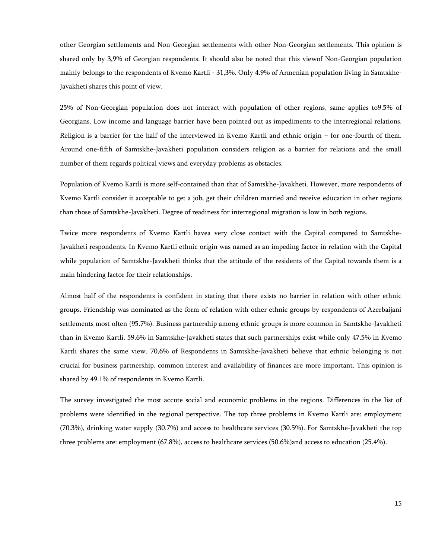other Georgian settlements and Non-Georgian settlements with other Non-Georgian settlements. This opinion is shared only by 3,9% of Georgian respondents. It should also be noted that this viewof Non-Georgian population mainly belongs to the respondents of Kvemo Kartli - 31,3%. Only 4.9% of Armenian population living in Samtskhe-Javakheti shares this point of view.

25% of Non-Georgian population does not interact with population of other regions, same applies to9.5% of Georgians. Low income and language barrier have been pointed out as impediments to the interregional relations. Religion is a barrier for the half of the interviewed in Kvemo Kartli and ethnic origin – for one-fourth of them. Around one-fifth of Samtskhe-Javakheti population considers religion as a barrier for relations and the small number of them regards political views and everyday problems as obstacles.

Population of Kvemo Kartli is more self-contained than that of Samtskhe-Javakheti. However, more respondents of Kvemo Kartli consider it acceptable to get a job, get their children married and receive education in other regions than those of Samtskhe-Javakheti. Degree of readiness for interregional migration is low in both regions.

Twice more respondents of Kvemo Kartli havea very close contact with the Capital compared to Samtskhe-Javakheti respondents. In Kvemo Kartli ethnic origin was named as an impeding factor in relation with the Capital while population of Samtskhe-Javakheti thinks that the attitude of the residents of the Capital towards them is a main hindering factor for their relationships.

Almost half of the respondents is confident in stating that there exists no barrier in relation with other ethnic groups. Friendship was nominated as the form of relation with other ethnic groups by respondents of Azerbaijani settlements most often (95.7%). Business partnership among ethnic groups is more common in Samtskhe-Javakheti than in Kvemo Kartli. 59.6% in Samtskhe-Javakheti states that such partnerships exist while only 47.5% in Kvemo Kartli shares the same view. 70,6% of Respondents in Samtskhe-Javakheti believe that ethnic belonging is not crucial for business partnership, common interest and availability of finances are more important. This opinion is shared by 49.1% of respondents in Kvemo Kartli.

The survey investigated the most accute social and economic problems in the regions. Differences in the list of problems were identified in the regional perspective. The top three problems in Kvemo Kartli are: employment (70.3%), drinking water supply (30.7%) and access to healthcare services (30.5%). For Samtskhe-Javakheti the top three problems are: employment (67.8%), access to healthcare services (50.6%)and access to education (25.4%).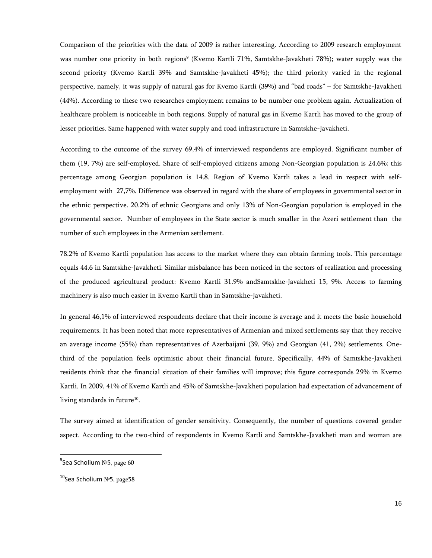Comparison of the priorities with the data of 2009 is rather interesting. According to 2009 research employment was number one priority in both regions<sup>9</sup> (Kvemo Kartli 71%, Samtskhe-Javakheti 78%); water supply was the second priority (Kvemo Kartli 39% and Samtskhe-Javakheti 45%); the third priority varied in the regional perspective, namely, it was supply of natural gas for Kvemo Kartli (39%) and "bad roads" – for Samtskhe-Javakheti (44%). According to these two researches employment remains to be number one problem again. Actualization of healthcare problem is noticeable in both regions. Supply of natural gas in Kvemo Kartli has moved to the group of lesser priorities. Same happened with water supply and road infrastructure in Samtskhe-Javakheti.

According to the outcome of the survey 69,4% of interviewed respondents are employed. Significant number of them (19, 7%) are self-employed. Share of self-employed citizens among Non-Georgian population is 24.6%; this percentage among Georgian population is 14.8. Region of Kvemo Kartli takes a lead in respect with selfemployment with 27,7%. Difference was observed in regard with the share of employees in governmental sector in the ethnic perspective. 20.2% of ethnic Georgians and only 13% of Non-Georgian population is employed in the governmental sector. Number of employees in the State sector is much smaller in the Azeri settlement than the number of such employees in the Armenian settlement.

78.2% of Kvemo Kartli population has access to the market where they can obtain farming tools. This percentage equals 44.6 in Samtskhe-Javakheti. Similar misbalance has been noticed in the sectors of realization and processing of the produced agricultural product: Kvemo Kartli 31.9% andSamtskhe-Javakheti 15, 9%. Access to farming machinery is also much easier in Kvemo Kartli than in Samtskhe-Javakheti.

In general 46,1% of interviewed respondents declare that their income is average and it meets the basic household requirements. It has been noted that more representatives of Armenian and mixed settlements say that they receive an average income (55%) than representatives of Azerbaijani (39, 9%) and Georgian (41, 2%) settlements. Onethird of the population feels optimistic about their financial future. Specifically, 44% of Samtskhe-Javakheti residents think that the financial situation of their families will improve; this figure corresponds 29% in Kvemo Kartli. In 2009, 41% of Kvemo Kartli and 45% of Samtskhe-Javakheti population had expectation of advancement of living standards in future<sup>10</sup>.

The survey aimed at identification of gender sensitivity. Consequently, the number of questions covered gender aspect. According to the two-third of respondents in Kvemo Kartli and Samtskhe-Javakheti man and woman are

<sup>&</sup>lt;sup>9</sup>Sea Scholium №5, page 60

<sup>&</sup>lt;sup>10</sup>Sea Scholium №5, page58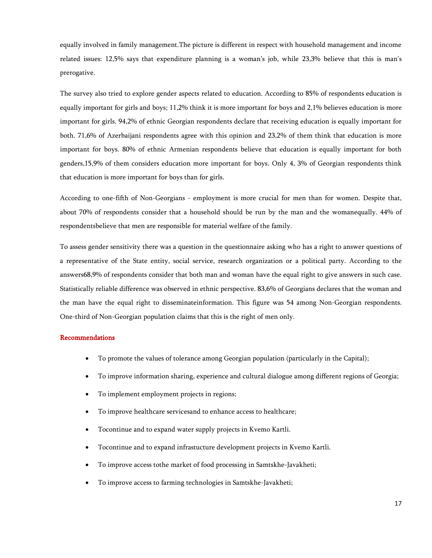equally involved in family management.The picture is different in respect with household management and income related issues: 12,5% says that expenditure planning is a woman's job, while 23,3% believe that this is man's prerogative.

The survey also tried to explore gender aspects related to education. According to 85% of respondents education is equally important for girls and boys; 11,2% think it is more important for boys and 2,1% believes education is more important for girls. 94,2% of ethnic Georgian respondents declare that receiving education is equally important for both. 71,6% of Azerbaijani respondents agree with this opinion and 23,2% of them think that education is more important for boys. 80% of ethnic Armenian respondents believe that education is equally important for both genders,15,9% of them considers education more important for boys. Only 4, 3% of Georgian respondents think that education is more important for boys than for girls.

According to one-fifth of Non-Georgians - employment is more crucial for men than for women. Despite that, about 70% of respondents consider that a household should be run by the man and the womanequally. 44% of respondentsbelieve that men are responsible for material welfare of the family.

To assess gender sensitivity there was a question in the questionnaire asking who has a right to answer questions of a representative of the State entity, social service, research organization or a political party. According to the answers68,9% of respondents consider that both man and woman have the equal right to give answers in such case. Statistically reliable difference was observed in ethnic perspective. 83,6% of Georgians declares that the woman and the man have the equal right to disseminateinformation. This figure was 54 among Non-Georgian respondents. One-third of Non-Georgian population claims that this is the right of men only.

#### Recommendations

- To promote the values of tolerance among Georgian population (particularly in the Capital);
- To improve information sharing, experience and cultural dialogue among different regions of Georgia;
- To implement employment projects in regions;
- To improve healthcare servicesand to enhance access to healthcare;
- Tocontinue and to expand water supply projects in Kvemo Kartli.
- Tocontinue and to expand infrastucture development projects in Kvemo Kartli.
- To improve access tothe market of food processing in Samtskhe-Javakheti;
- To improve access to farming technologies in Samtskhe-Javakheti;